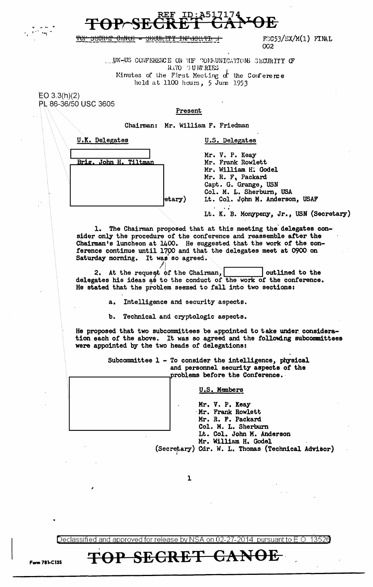

᠊<del>᠐᠋᠋᠋ᠬᢗᡰ</del>ᠯ

 $F3C53/EX/M(1)$  FINAL  $002$ 

UK-US CONFERENCE ON THE COMMUNICATIONS SECURITY OF NATO OUNTRIES Minutes of the First Meeting of the Conference held at 1100 hours, 5 June 1953

 $EO 3.3(h)(2)$ PL 86-36/50 USC 3605

## Present

Chairman: Mr. William F. Friedman

| U.K. Delegates        |                        |
|-----------------------|------------------------|
| Brig. John H. Tiltman |                        |
|                       |                        |
|                       |                        |
|                       | $ \text{etary}\rangle$ |

**U.S. Delegates** 

Mr. V. P. Keay Mr. Frank Rowlett Mr. William H. Godel Mr. R. F. Packard Capt. G. Grange, USN Col. M. L. Sherburn, USA Lt. Col. John M. Anderson, USAF

Lt. K. B. Monypeny, Jr., USN (Secretary)

1. The Chairman proposed that at this meeting the delegates consider only the procedure of the conference and reassemble after the Chairman's luncheon at 1400. He suggested that the work of the conference continue until 1700 and that the delegates meet at 0900 on Saturday morning. It was so agreed.

At the request of the Chairman,  $2.$ outlined to the delegates his ideas as to the conduct of the work of the conference. He stated that the problem seemed to fall into two sections:

> Intelligence and security aspects.  $a<sub>1</sub>$

> Technical and cryptologic aspects. b.

He proposed that two subcommittees be appointed to take under consideration each of the above. It was so agreed and the following subcommittees were appointed by the two heads of delegations:

> Subcommittee 1 - To consider the intelligence, physical and personnel security aspects of the problems before the Conference.

> > U.S. Members

Mr. V. P. Keay Mr. Frank Rowlett Mr. R. F. Packard Col. M. L. Sherburn Lt. Col. John M. Anderson Mr. William H. Godel (Secretary) Cdr. W. L. Thomas (Technical Advisor)

<del>CANOE</del>

ı

13526 Declassified and approved for release by NSA on 02-27-2014 pursuant to E.O.

**SECRET** 

**TOP**